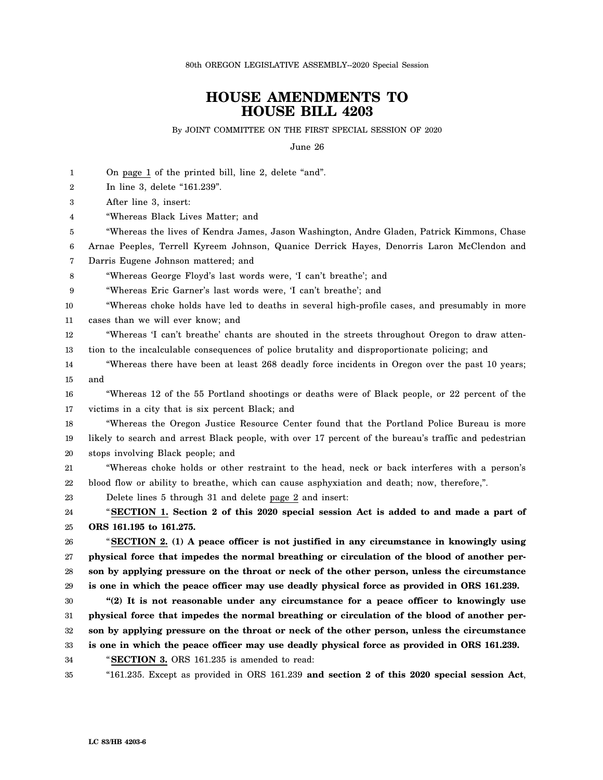80th OREGON LEGISLATIVE ASSEMBLY--2020 Special Session

## **HOUSE AMENDMENTS TO HOUSE BILL 4203**

By JOINT COMMITTEE ON THE FIRST SPECIAL SESSION OF 2020

June 26

| 1      | On page 1 of the printed bill, line 2, delete "and".                                                  |
|--------|-------------------------------------------------------------------------------------------------------|
| 2      | In line 3, delete "161.239".                                                                          |
| 3      | After line 3, insert:                                                                                 |
| 4      | "Whereas Black Lives Matter; and                                                                      |
| 5      | "Whereas the lives of Kendra James, Jason Washington, Andre Gladen, Patrick Kimmons, Chase            |
| 6      | Arnae Peeples, Terrell Kyreem Johnson, Quanice Derrick Hayes, Denorris Laron McClendon and            |
| 7      | Darris Eugene Johnson mattered; and                                                                   |
| 8      | "Whereas George Floyd's last words were, 'I can't breathe'; and                                       |
| 9      | "Whereas Eric Garner's last words were, 'I can't breathe'; and                                        |
| 10     | "Whereas choke holds have led to deaths in several high-profile cases, and presumably in more         |
| 11     | cases than we will ever know; and                                                                     |
| 12     | "Whereas 'I can't breathe' chants are shouted in the streets throughout Oregon to draw atten-         |
| 13     | tion to the incalculable consequences of police brutality and disproportionate policing; and          |
| 14     | "Whereas there have been at least 268 deadly force incidents in Oregon over the past 10 years;        |
| 15     | and                                                                                                   |
| 16     | "Whereas 12 of the 55 Portland shootings or deaths were of Black people, or 22 percent of the         |
| 17     | victims in a city that is six percent Black; and                                                      |
| 18     | "Whereas the Oregon Justice Resource Center found that the Portland Police Bureau is more             |
| 19     | likely to search and arrest Black people, with over 17 percent of the bureau's traffic and pedestrian |
| 20     | stops involving Black people; and                                                                     |
| 21     | "Whereas choke holds or other restraint to the head, neck or back interferes with a person's          |
| 22     | blood flow or ability to breathe, which can cause asphyxiation and death; now, therefore,".           |
| 23     | Delete lines 5 through 31 and delete page 2 and insert:                                               |
| 24     | "SECTION 1. Section 2 of this 2020 special session Act is added to and made a part of                 |
| 25     | ORS 161.195 to 161.275.                                                                               |
| 26     | "SECTION 2. (1) A peace officer is not justified in any circumstance in knowingly using               |
| 27     | physical force that impedes the normal breathing or circulation of the blood of another per-          |
| 28     | son by applying pressure on the throat or neck of the other person, unless the circumstance           |
| 29     | is one in which the peace officer may use deadly physical force as provided in ORS 161.239.           |
| $30\,$ | "(2) It is not reasonable under any circumstance for a peace officer to knowingly use                 |
| 31     | physical force that impedes the normal breathing or circulation of the blood of another per-          |
| 32     | son by applying pressure on the throat or neck of the other person, unless the circumstance           |
| 33     | is one in which the peace officer may use deadly physical force as provided in ORS 161.239.           |
| 34     | "SECTION 3. ORS 161.235 is amended to read:                                                           |
| 35     | "161.235. Except as provided in ORS 161.239 and section 2 of this $2020$ special session Act,         |
|        |                                                                                                       |